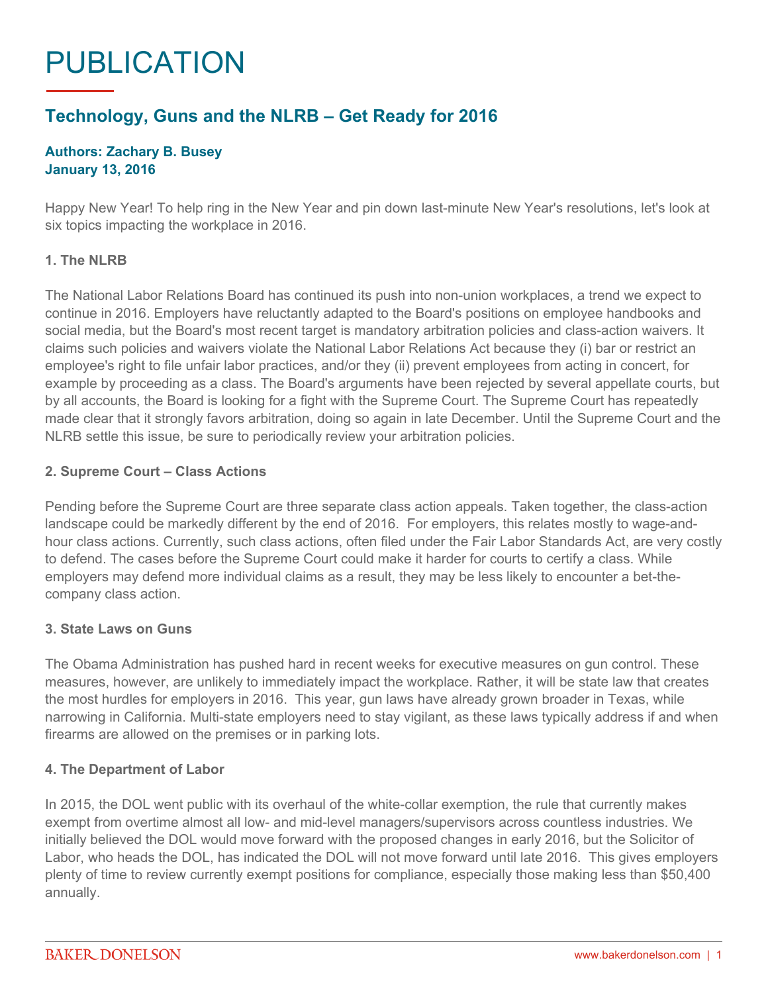# PUBLICATION

# **Technology, Guns and the NLRB – Get Ready for 2016**

## **Authors: Zachary B. Busey January 13, 2016**

Happy New Year! To help ring in the New Year and pin down last-minute New Year's resolutions, let's look at six topics impacting the workplace in 2016.

#### **1. The NLRB**

The National Labor Relations Board has continued its push into non-union workplaces, a trend we expect to continue in 2016. Employers have reluctantly adapted to the Board's positions on employee handbooks and social media, but the Board's most recent target is mandatory arbitration policies and class-action waivers. It claims such policies and waivers violate the National Labor Relations Act because they (i) bar or restrict an employee's right to file unfair labor practices, and/or they (ii) prevent employees from acting in concert, for example by proceeding as a class. The Board's arguments have been rejected by several appellate courts, but by all accounts, the Board is looking for a fight with the Supreme Court. The Supreme Court has repeatedly made clear that it strongly favors arbitration, doing so again in late December. Until the Supreme Court and the NLRB settle this issue, be sure to periodically review your arbitration policies.

#### **2. Supreme Court – Class Actions**

Pending before the Supreme Court are three separate class action appeals. Taken together, the class-action landscape could be markedly different by the end of 2016. For employers, this relates mostly to wage-andhour class actions. Currently, such class actions, often filed under the Fair Labor Standards Act, are very costly to defend. The cases before the Supreme Court could make it harder for courts to certify a class. While employers may defend more individual claims as a result, they may be less likely to encounter a bet-thecompany class action.

## **3. State Laws on Guns**

The Obama Administration has pushed hard in recent weeks for executive measures on gun control. These measures, however, are unlikely to immediately impact the workplace. Rather, it will be state law that creates the most hurdles for employers in 2016. This year, gun laws have already grown broader in Texas, while narrowing in California. Multi-state employers need to stay vigilant, as these laws typically address if and when firearms are allowed on the premises or in parking lots.

#### **4. The Department of Labor**

In 2015, the DOL went public with its overhaul of the white-collar exemption, the rule that currently makes exempt from overtime almost all low- and mid-level managers/supervisors across countless industries. We initially believed the DOL would move forward with the proposed changes in early 2016, but the Solicitor of Labor, who heads the DOL, has indicated the DOL will not move forward until late 2016. This gives employers plenty of time to review currently exempt positions for compliance, especially those making less than \$50,400 annually.